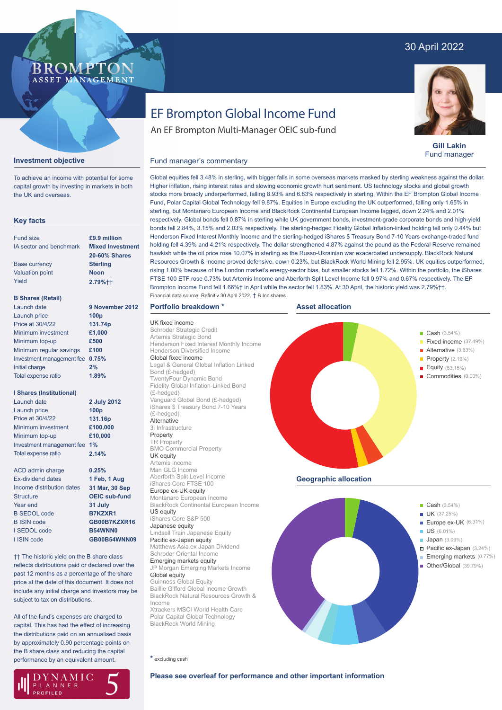# 30 April 2022

## BROMP" ASSET MANAGEMENT

# **Investment objective**

To achieve an income with potential for some capital growth by investing in markets in both the UK and overseas.

# **Key facts**

| <b>Fund size</b>                | £9.9 million            |
|---------------------------------|-------------------------|
| IA sector and benchmark         | <b>Mixed Investment</b> |
|                                 | <b>20-60% Shares</b>    |
| <b>Base currency</b>            | <b>Sterling</b>         |
| <b>Valuation point</b>          | <b>Noon</b>             |
| Yield                           | 2.79%++                 |
| <b>B Shares (Retail)</b>        |                         |
| Launch date                     | 9 November 2012         |
| Launch price                    | 100 <sub>p</sub>        |
| Price at 30/4/22                | 131.74p                 |
| Minimum investment              | £1,000                  |
| Minimum top-up                  | £500                    |
| Minimum regular savings         | £100                    |
| Investment management fee       | 0.75%                   |
| <b>Initial charge</b>           | 2%                      |
| <b>Total expense ratio</b>      | 1.89%                   |
| <b>I Shares (Institutional)</b> |                         |
| Launch date                     | 2 July 2012             |
| Launch price                    | 100 <sub>p</sub>        |
| Price at 30/4/22                | 131.16p                 |
| Minimum investment              | £100,000                |
| Minimum top-up                  | £10,000                 |
|                                 |                         |

Investment management fee **1%** Total expense ratio ACD admin charge Ex-dividend dates Income distribution dates **Structure 0.25% 2.14%**

| Ex-dividend dates         | 1 Feb, 1 Aug         |
|---------------------------|----------------------|
| Income distribution dates | 31 Mar, 30 Sep       |
| <b>Structure</b>          | <b>OEIC sub-fund</b> |
| Year end                  | 31 July              |
| <b>B SEDOL code</b>       | B7KZXR1              |
| <b>B ISIN code</b>        | GB00B7KZXR16         |
| I SEDOL code              | <b>B54WNN0</b>       |
| I ISIN code               | <b>GB00B54WNN09</b>  |
|                           |                      |

†† The historic yield on the B share class reflects distributions paid or declared over the past 12 months as a percentage of the share price at the date of this document. It does not include any initial charge and investors may be subject to tax on distributions.

All of the fund's expenses are charged to capital. This has had the effect of increasing the distributions paid on an annualised basis by approximately 0.90 percentage points on the B share class and reducing the capital performance by an equivalent amount.

#### Global equity Guinness Global Equity Baillie Gifford Global Income Growth

BlackRock Natural Resources Growth & Income Xtrackers MSCI World Health Care Polar Capital Global Technology BlackRock World Mining

JP Morgan Emerging Markets Income

**\*** excluding cash

UK fixed income

Bond (£-hedged)

(£-hedged)

(£-hedged) **Alternative** 3i Infrastructure Property TR Property

UK equity Artemis Income Man GLG Income Aberforth Split Level Income iShares Core FTSE 100 Europe ex-UK equity Montanaro European Income BlackRock Continental European Income

US equity

iShares Core S&P 500 Japanese equity

Lindsell Train Japanese Equity Pacific ex-Japan equity Matthews Asia ex Japan Dividend Schroder Oriental Income Emerging markets equity



**Geographic allocation**

bonds fell 2.84%, 3.15% and 2.03% respectively. The sterling-hedged Fidelity Global Inflation-linked holding fell only 0.44% but Henderson Fixed Interest Monthly Income and the sterling-hedged iShares \$ Treasury Bond 7-10 Years exchange-traded fund holding fell 4.39% and 4.21% respectively. The dollar strengthened 4.87% against the pound as the Federal Reserve remained hawkish while the oil price rose 10.07% in sterling as the Russo-Ukrainian war exacerbated undersupply. BlackRock Natural Resources Growth & Income proved defensive, down 0.23%, but BlackRock World Mining fell 2.95%. UK equities outperformed,



EF Brompton Global Income Fund An EF Brompton Multi-Manager OEIC sub-fund

Fund manager's commentary



**Gill Lakin** Fund manager

**Please see overleaf for performance and other important information**

NAMIC LANNER **PROFILED** 

Global equities fell 3.48% in sterling, with bigger falls in some overseas markets masked by sterling weakness against the dollar. Higher inflation, rising interest rates and slowing economic growth hurt sentiment. US technology stocks and global growth stocks more broadly underperformed, falling 8.93% and 6.83% respectively in sterling. Within the EF Brompton Global Income Fund, Polar Capital Global Technology fell 9.87%. Equities in Europe excluding the UK outperformed, falling only 1.65% in sterling, but Montanaro European Income and BlackRock Continental European Income lagged, down 2.24% and 2.01% respectively. Global bonds fell 0.87% in sterling while UK government bonds, investment-grade corporate bonds and high-yield